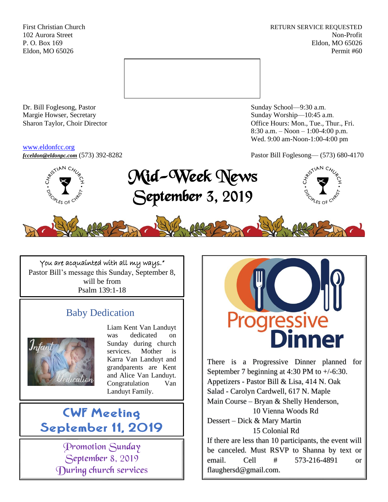First Christian Church **RETURN SERVICE REQUESTED** 102 Aurora Street Non-Profit P. O. Box 169 Eldon, MO 65026 Eldon, MO 65026 Permit #60



Dr. Bill Foglesong, Pastor Sunday School—9:30 a.m. Margie Howser, Secretary Sunday Worship—10:45 a.m.

### [www.eldonfcc.org](http://www.eldonfcc.org/)

Sharon Taylor, Choir Director **Channel Controllering Controllering Controllering Controllering Controllering Controllering Controllering Controllering Controllering Controllering Controllering Controllering Controllering C** 8:30 a.m. – Noon – 1:00-4:00 p.m. Wed. 9:00 am-Noon-1:00-4:00 pm



*[fcceldon@eldonpc.com](mailto:fcceldon@eldonpc.com)* (573) 392-8282 Pastor Bill Foglesong— (573) 680-4170<br>  $\frac{e^{55} \sqrt{h} N C_{\mathcal{H}_{\mathcal{L}_{\alpha}}}}{2}$  **Mid-Week Nows** Mid-Week News September 3, 2019



You are acquainted with all my ways." Pastor Bill's message this Sunday, September 8, will be from Psalm 139:1-18

### Baby Dedication



Liam Kent Van Landuyt was dedicated on Sunday during church services. Mother is Karra Van Landuyt and grandparents are Kent and Alice Van Landuyt. Congratulation Van Landuyt Family.

# CWF Meeting September 11, 2019

Promotion Sunday September 8, 2019 During church services



There is a Progressive Dinner planned for September 7 beginning at 4:30 PM to +/-6:30. Appetizers - Pastor Bill & Lisa, 414 N. Oak Salad - Carolyn Cardwell, 617 N. Maple Main Course – Bryan & Shelly Henderson, 10 Vienna Woods Rd Dessert – Dick & Mary Martin 15 Colonial Rd If there are less than 10 participants, the event will be canceled. Must RSVP to Shanna by text or email. Cell # 573-216-4891 or flaughersd@gmail.com.